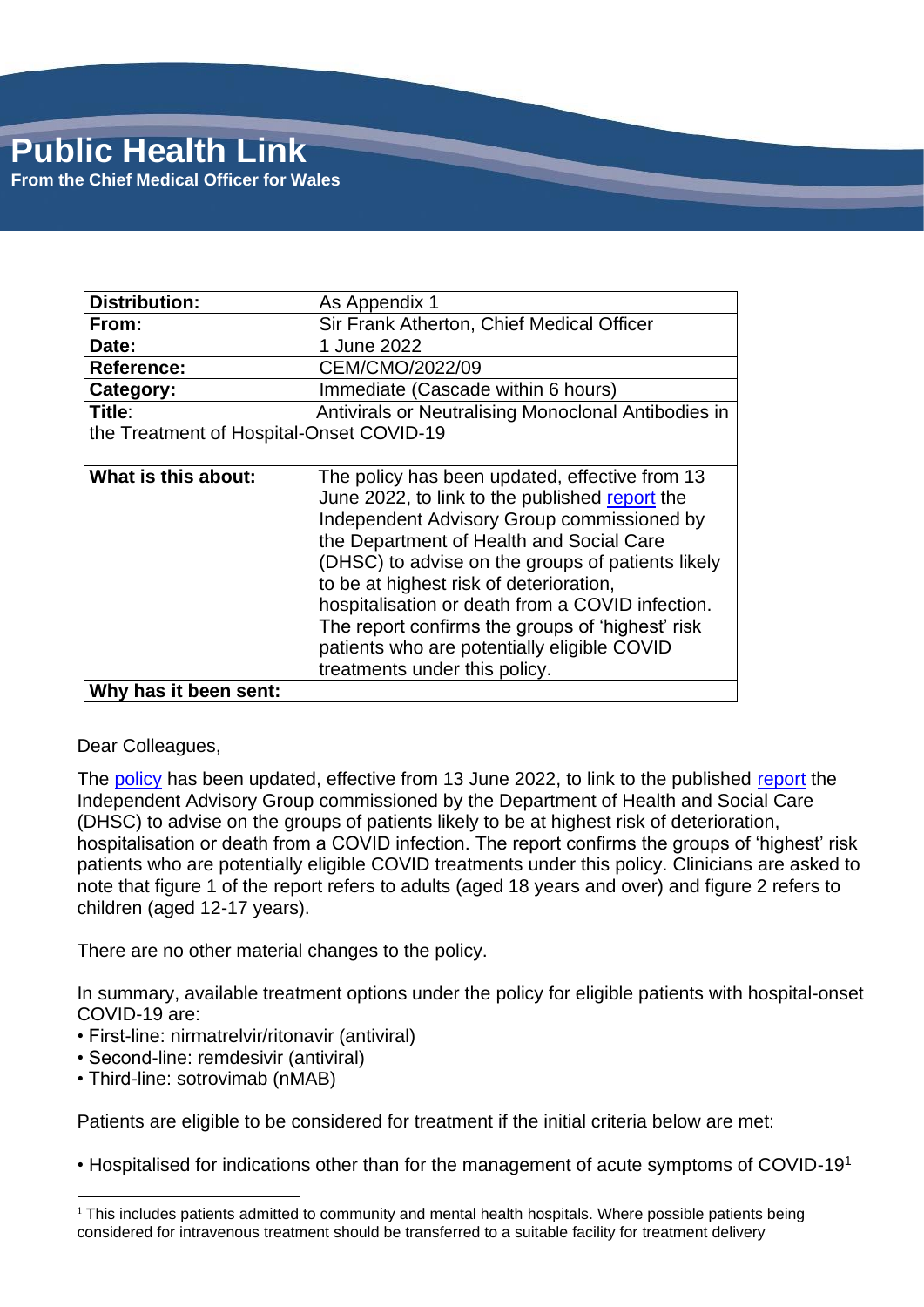| <b>Distribution:</b>                     | As Appendix 1                                                                                                                                                                                                                                                                                                                                                                                                                                                                      |
|------------------------------------------|------------------------------------------------------------------------------------------------------------------------------------------------------------------------------------------------------------------------------------------------------------------------------------------------------------------------------------------------------------------------------------------------------------------------------------------------------------------------------------|
| From:                                    | Sir Frank Atherton, Chief Medical Officer                                                                                                                                                                                                                                                                                                                                                                                                                                          |
| Date:                                    | 1 June 2022                                                                                                                                                                                                                                                                                                                                                                                                                                                                        |
| <b>Reference:</b>                        | CEM/CMO/2022/09                                                                                                                                                                                                                                                                                                                                                                                                                                                                    |
| Category:                                | Immediate (Cascade within 6 hours)                                                                                                                                                                                                                                                                                                                                                                                                                                                 |
| Title:                                   | Antivirals or Neutralising Monoclonal Antibodies in                                                                                                                                                                                                                                                                                                                                                                                                                                |
| the Treatment of Hospital-Onset COVID-19 |                                                                                                                                                                                                                                                                                                                                                                                                                                                                                    |
|                                          |                                                                                                                                                                                                                                                                                                                                                                                                                                                                                    |
| What is this about:                      | The policy has been updated, effective from 13<br>June 2022, to link to the published report the<br>Independent Advisory Group commissioned by<br>the Department of Health and Social Care<br>(DHSC) to advise on the groups of patients likely<br>to be at highest risk of deterioration,<br>hospitalisation or death from a COVID infection.<br>The report confirms the groups of 'highest' risk<br>patients who are potentially eligible COVID<br>treatments under this policy. |
| Why has it been sent:                    |                                                                                                                                                                                                                                                                                                                                                                                                                                                                                    |

#### Dear Colleagues,

The [policy](https://awttc.nhs.wales/covid-19-therapeutic-hub/covid-19-therapies-alerts-and-advice/) has been updated, effective from 13 June 2022, to link to the published [report](https://www.gov.uk/government/publications/higher-risk-patients-eligible-for-covid-19-treatments-independent-advisory-group-report) the Independent Advisory Group commissioned by the Department of Health and Social Care (DHSC) to advise on the groups of patients likely to be at highest risk of deterioration, hospitalisation or death from a COVID infection. The report confirms the groups of 'highest' risk patients who are potentially eligible COVID treatments under this policy. Clinicians are asked to note that figure 1 of the report refers to adults (aged 18 years and over) and figure 2 refers to children (aged 12-17 years).

There are no other material changes to the policy.

In summary, available treatment options under the policy for eligible patients with hospital-onset COVID-19 are:

- First-line: nirmatrelvir/ritonavir (antiviral)
- Second-line: remdesivir (antiviral)
- Third-line: sotrovimab (nMAB)

Patients are eligible to be considered for treatment if the initial criteria below are met:

• Hospitalised for indications other than for the management of acute symptoms of COVID-19<sup>1</sup>

 $1$  This includes patients admitted to community and mental health hospitals. Where possible patients being considered for intravenous treatment should be transferred to a suitable facility for treatment delivery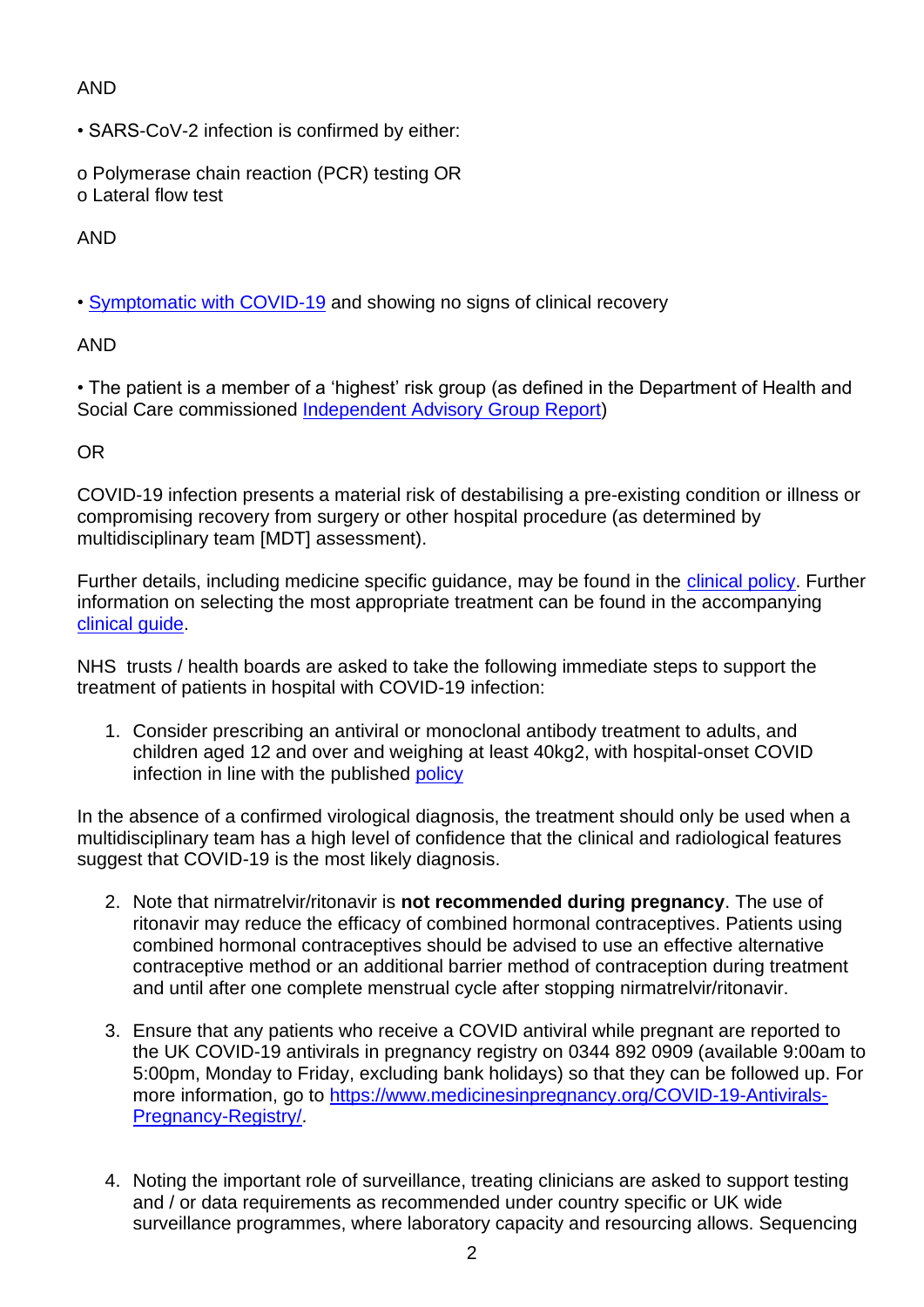## AND

• SARS-CoV-2 infection is confirmed by either:

o Polymerase chain reaction (PCR) testing OR o Lateral flow test

## AND

• [Symptomatic with COVID-19](https://www.nhs.uk/conditions/coronavirus-covid-19/symptoms/) and showing no signs of clinical recovery

## AND

• The patient is a member of a 'highest' risk group (as defined in the Department of Health and Social Care commissioned [Independent Advisory Group Report\)](https://www.gov.uk/government/publications/higher-risk-patients-eligible-for-covid-19-treatments-independent-advisory-group-report)

## OR

COVID-19 infection presents a material risk of destabilising a pre-existing condition or illness or compromising recovery from surgery or other hospital procedure (as determined by multidisciplinary team [MDT] assessment).

Further details, including medicine specific guidance, may be found in the [clinical policy.](https://awttc.nhs.wales/covid-19-therapeutic-hub/covid-19-therapies-alerts-and-advice/) Further information on selecting the most appropriate treatment can be found in the accompanying [clinical guide.](https://awttc.nhs.wales/covid-19-therapeutic-hub/covid-19-therapies-alerts-and-advice/)

NHS trusts / health boards are asked to take the following immediate steps to support the treatment of patients in hospital with COVID-19 infection:

1. Consider prescribing an antiviral or monoclonal antibody treatment to adults, and children aged 12 and over and weighing at least 40kg2, with hospital-onset COVID infection in line with the published [policy](https://awttc.nhs.wales/covid-19-therapeutic-hub/covid-19-therapies-alerts-and-advice/)

In the absence of a confirmed virological diagnosis, the treatment should only be used when a multidisciplinary team has a high level of confidence that the clinical and radiological features suggest that COVID-19 is the most likely diagnosis.

- 2. Note that nirmatrelvir/ritonavir is **not recommended during pregnancy**. The use of ritonavir may reduce the efficacy of combined hormonal contraceptives. Patients using combined hormonal contraceptives should be advised to use an effective alternative contraceptive method or an additional barrier method of contraception during treatment and until after one complete menstrual cycle after stopping nirmatrelvir/ritonavir.
- 3. Ensure that any patients who receive a COVID antiviral while pregnant are reported to the UK COVID-19 antivirals in pregnancy registry on 0344 892 0909 (available 9:00am to 5:00pm, Monday to Friday, excluding bank holidays) so that they can be followed up. For more information, go to [https://www.medicinesinpregnancy.org/COVID-19-Antivirals-](https://www.medicinesinpregnancy.org/COVID-19-Antivirals-Pregnancy-Registry/)[Pregnancy-Registry/.](https://www.medicinesinpregnancy.org/COVID-19-Antivirals-Pregnancy-Registry/)
- 4. Noting the important role of surveillance, treating clinicians are asked to support testing and / or data requirements as recommended under country specific or UK wide surveillance programmes, where laboratory capacity and resourcing allows. Sequencing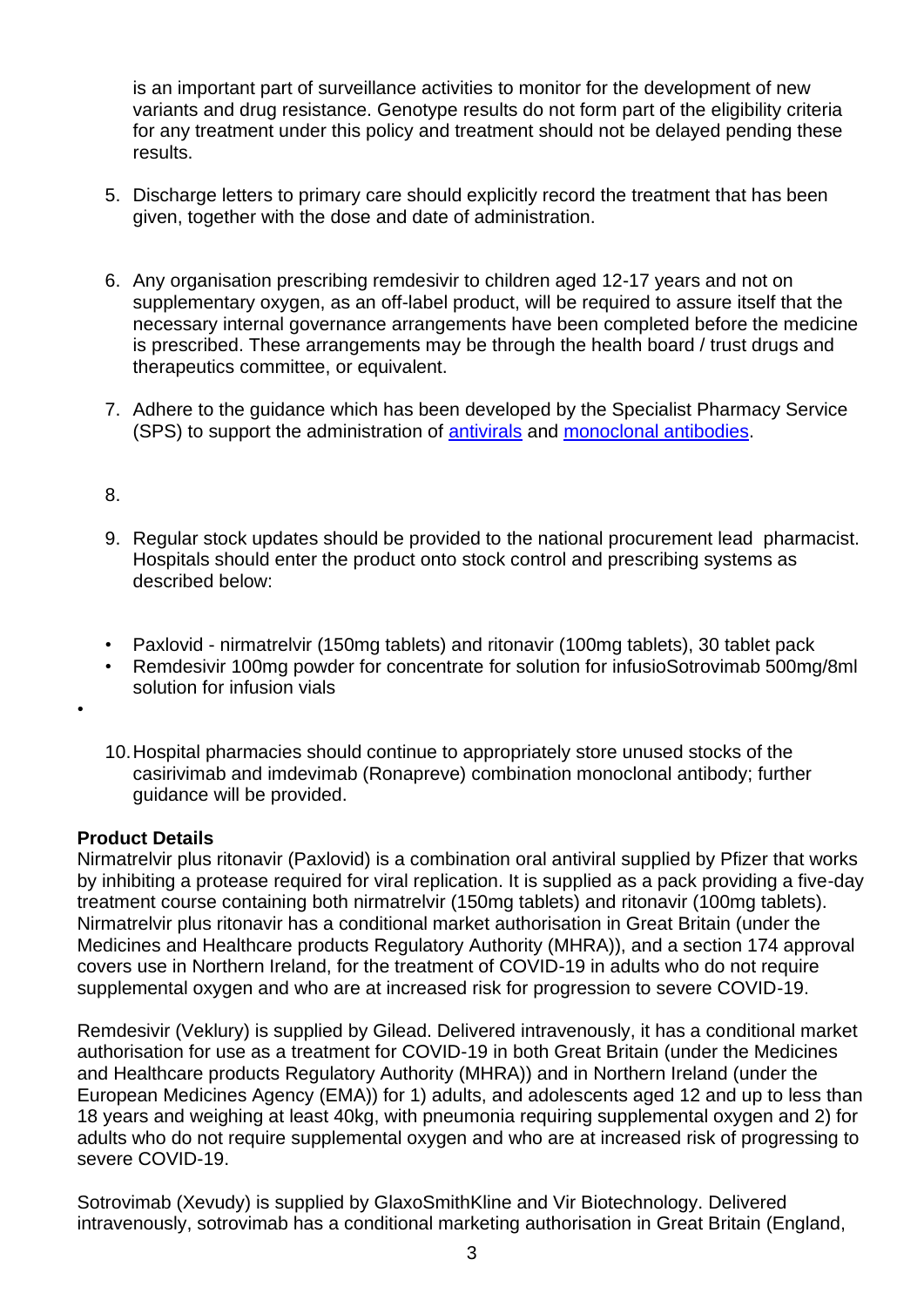is an important part of surveillance activities to monitor for the development of new variants and drug resistance. Genotype results do not form part of the eligibility criteria for any treatment under this policy and treatment should not be delayed pending these results.

- 5. Discharge letters to primary care should explicitly record the treatment that has been given, together with the dose and date of administration.
- 6. Any organisation prescribing remdesivir to children aged 12-17 years and not on supplementary oxygen, as an off-label product, will be required to assure itself that the necessary internal governance arrangements have been completed before the medicine is prescribed. These arrangements may be through the health board / trust drugs and therapeutics committee, or equivalent.
- 7. Adhere to the guidance which has been developed by the Specialist Pharmacy Service (SPS) to support the administration of [antivirals](https://www.sps.nhs.uk/home/guidance/covid-19-treatments/oral-antivirals/) and [monoclonal antibodies.](https://www.sps.nhs.uk/home/guidance/covid-19-treatments/neutralising-monoclonal-antibodies/)

#### 8.

•

- 9. Regular stock updates should be provided to the national procurement lead pharmacist. Hospitals should enter the product onto stock control and prescribing systems as described below:
- Paxlovid nirmatrelvir (150mg tablets) and ritonavir (100mg tablets), 30 tablet pack
- Remdesivir 100mg powder for concentrate for solution for infusioSotrovimab 500mg/8ml solution for infusion vials
- 10.Hospital pharmacies should continue to appropriately store unused stocks of the casirivimab and imdevimab (Ronapreve) combination monoclonal antibody; further guidance will be provided.

#### **Product Details**

Nirmatrelvir plus ritonavir (Paxlovid) is a combination oral antiviral supplied by Pfizer that works by inhibiting a protease required for viral replication. It is supplied as a pack providing a five-day treatment course containing both nirmatrelvir (150mg tablets) and ritonavir (100mg tablets). Nirmatrelvir plus ritonavir has a conditional market authorisation in Great Britain (under the Medicines and Healthcare products Regulatory Authority (MHRA)), and a section 174 approval covers use in Northern Ireland, for the treatment of COVID-19 in adults who do not require supplemental oxygen and who are at increased risk for progression to severe COVID-19.

Remdesivir (Veklury) is supplied by Gilead. Delivered intravenously, it has a conditional market authorisation for use as a treatment for COVID-19 in both Great Britain (under the Medicines and Healthcare products Regulatory Authority (MHRA)) and in Northern Ireland (under the European Medicines Agency (EMA)) for 1) adults, and adolescents aged 12 and up to less than 18 years and weighing at least 40kg, with pneumonia requiring supplemental oxygen and 2) for adults who do not require supplemental oxygen and who are at increased risk of progressing to severe COVID-19.

Sotrovimab (Xevudy) is supplied by GlaxoSmithKline and Vir Biotechnology. Delivered intravenously, sotrovimab has a conditional marketing authorisation in Great Britain (England,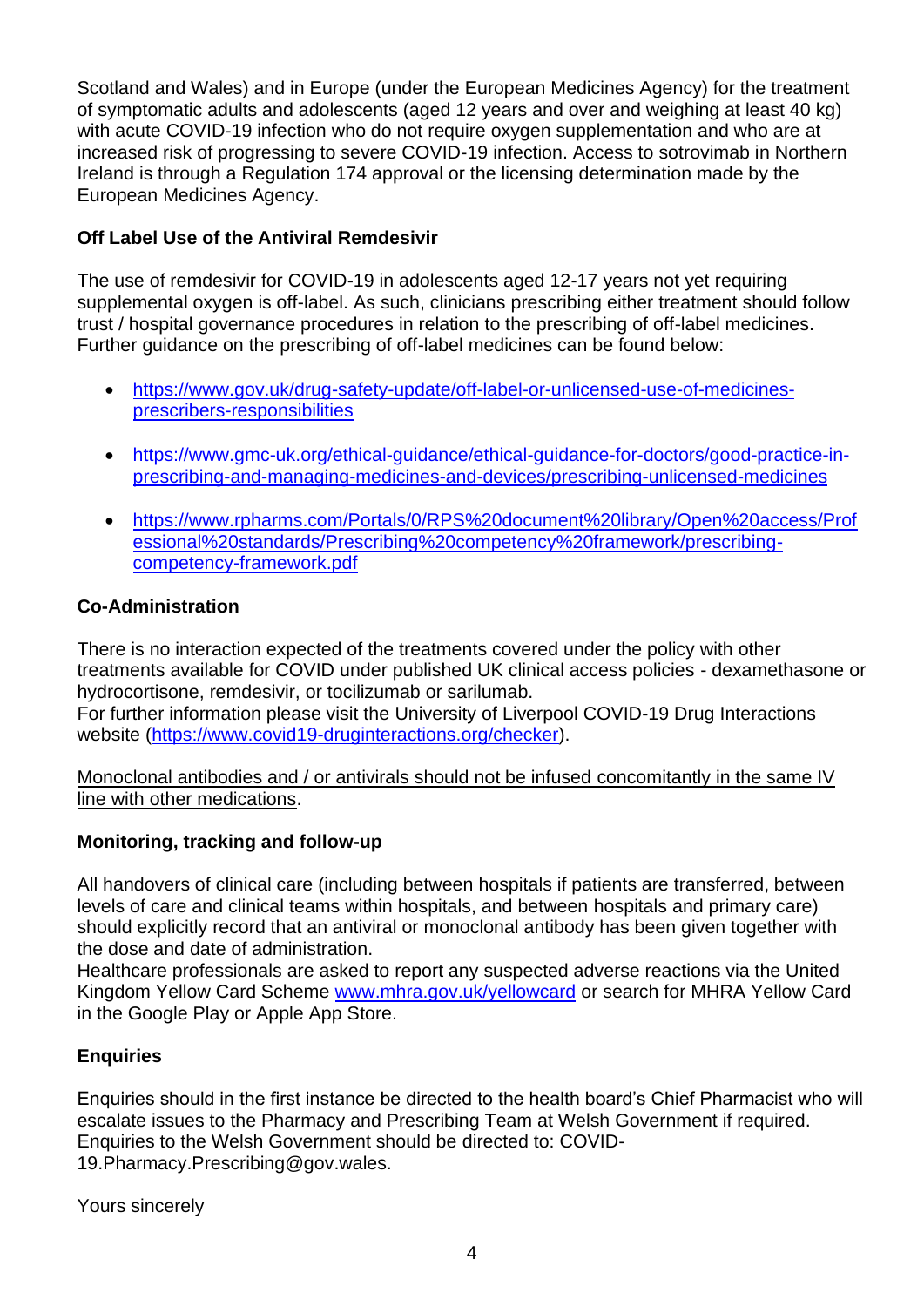Scotland and Wales) and in Europe (under the European Medicines Agency) for the treatment of symptomatic adults and adolescents (aged 12 years and over and weighing at least 40 kg) with acute COVID-19 infection who do not require oxygen supplementation and who are at increased risk of progressing to severe COVID-19 infection. Access to sotrovimab in Northern Ireland is through a Regulation 174 approval or the licensing determination made by the European Medicines Agency.

## **Off Label Use of the Antiviral Remdesivir**

The use of remdesivir for COVID-19 in adolescents aged 12-17 years not yet requiring supplemental oxygen is off-label. As such, clinicians prescribing either treatment should follow trust / hospital governance procedures in relation to the prescribing of off-label medicines. Further guidance on the prescribing of off-label medicines can be found below:

- [https://www.gov.uk/drug-safety-update/off-label-or-unlicensed-use-of-medicines](https://www.gov.uk/drug-safety-update/off-label-or-unlicensed-use-of-medicines-prescribers-responsibilities)[prescribers-responsibilities](https://www.gov.uk/drug-safety-update/off-label-or-unlicensed-use-of-medicines-prescribers-responsibilities)
- [https://www.gmc-uk.org/ethical-guidance/ethical-guidance-for-doctors/good-practice-in](https://www.gmc-uk.org/ethical-guidance/ethical-guidance-for-doctors/good-practice-in-prescribing-and-managing-medicines-and-devices/prescribing-unlicensed-medicines)[prescribing-and-managing-medicines-and-devices/prescribing-unlicensed-medicines](https://www.gmc-uk.org/ethical-guidance/ethical-guidance-for-doctors/good-practice-in-prescribing-and-managing-medicines-and-devices/prescribing-unlicensed-medicines)
- [https://www.rpharms.com/Portals/0/RPS%20document%20library/Open%20access/Prof](https://www.rpharms.com/Portals/0/RPS%20document%20library/Open%20access/Professional%20standards/Prescribing%20competency%20framework/prescribing-competency-framework.pdf) [essional%20standards/Prescribing%20competency%20framework/prescribing](https://www.rpharms.com/Portals/0/RPS%20document%20library/Open%20access/Professional%20standards/Prescribing%20competency%20framework/prescribing-competency-framework.pdf)[competency-framework.pdf](https://www.rpharms.com/Portals/0/RPS%20document%20library/Open%20access/Professional%20standards/Prescribing%20competency%20framework/prescribing-competency-framework.pdf)

## **Co-Administration**

There is no interaction expected of the treatments covered under the policy with other treatments available for COVID under published UK clinical access policies - dexamethasone or hydrocortisone, remdesivir, or tocilizumab or sarilumab. For further information please visit the University of Liverpool COVID-19 Drug Interactions website [\(https://www.covid19-druginteractions.org/checker\)](https://www.covid19-druginteractions.org/checker).

Monoclonal antibodies and / or antivirals should not be infused concomitantly in the same IV line with other medications.

## **Monitoring, tracking and follow-up**

All handovers of clinical care (including between hospitals if patients are transferred, between levels of care and clinical teams within hospitals, and between hospitals and primary care) should explicitly record that an antiviral or monoclonal antibody has been given together with the dose and date of administration.

Healthcare professionals are asked to report any suspected adverse reactions via the United Kingdom Yellow Card Scheme [www.mhra.gov.uk/yellowcard](https://wales365uk-my.sharepoint.com/personal/rhian_cowley001_gov_wales/Documents/Profile/Desktop/www.mhra.gov.uk/yellowcard) or search for MHRA Yellow Card in the Google Play or Apple App Store.

## **Enquiries**

Enquiries should in the first instance be directed to the health board's Chief Pharmacist who will escalate issues to the Pharmacy and Prescribing Team at Welsh Government if required. Enquiries to the Welsh Government should be directed to: COVID-19.Pharmacy.Prescribing@gov.wales.

Yours sincerely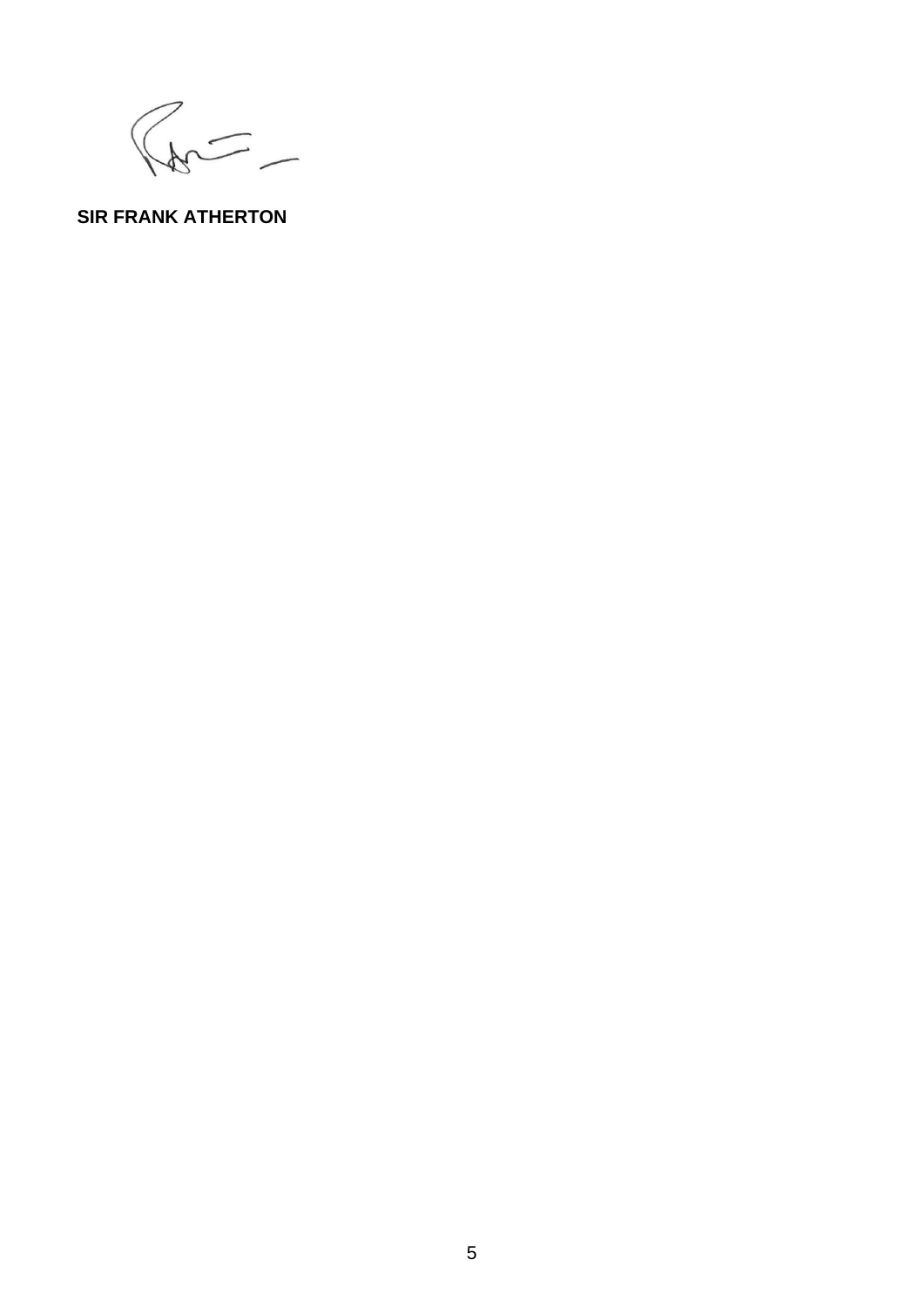$\begin{picture}(120,10) \put(0,0){\line(1,0){15}} \put(15,0){\line(1,0){15}} \put(15,0){\line(1,0){15}} \put(15,0){\line(1,0){15}} \put(15,0){\line(1,0){15}} \put(15,0){\line(1,0){15}} \put(15,0){\line(1,0){15}} \put(15,0){\line(1,0){15}} \put(15,0){\line(1,0){15}} \put(15,0){\line(1,0){15}} \put(15,0){\line(1,0){15}} \put(15,0){\line($ 

# **SIR FRANK ATHERTON**